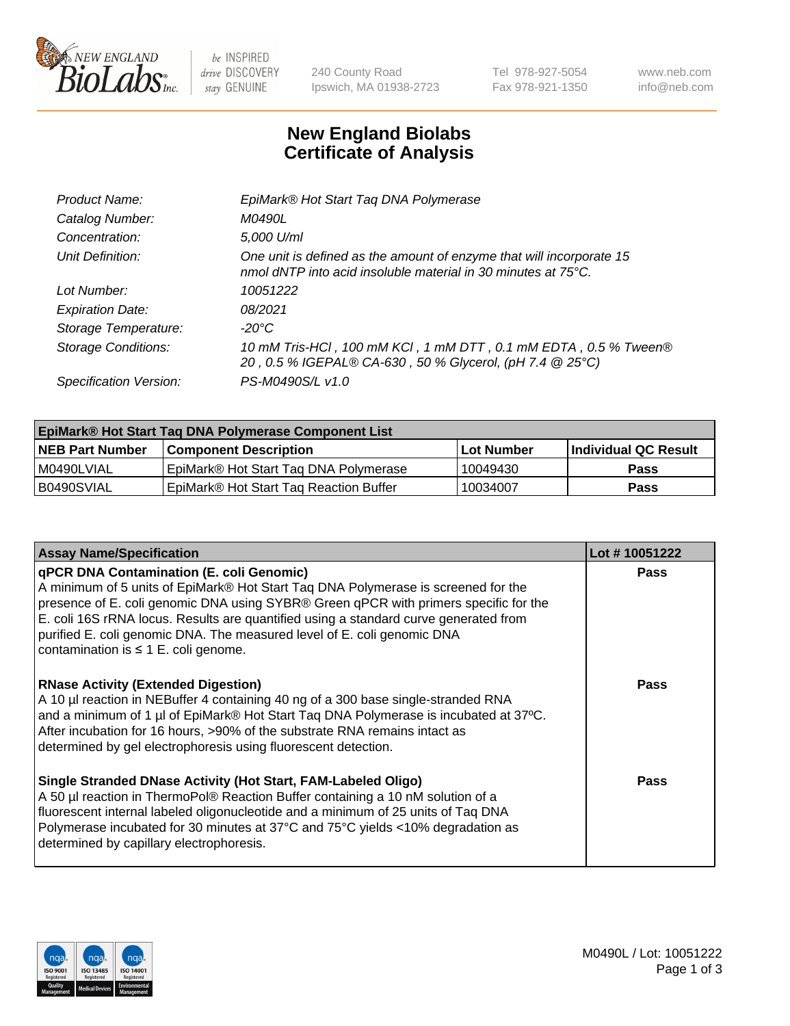

 $be$  INSPIRED drive DISCOVERY stay GENUINE

240 County Road Ipswich, MA 01938-2723 Tel 978-927-5054 Fax 978-921-1350 www.neb.com info@neb.com

## **New England Biolabs Certificate of Analysis**

| EpiMark® Hot Start Tag DNA Polymerase                                                                                                 |
|---------------------------------------------------------------------------------------------------------------------------------------|
| <i>M0490L</i>                                                                                                                         |
| 5,000 U/ml                                                                                                                            |
| One unit is defined as the amount of enzyme that will incorporate 15<br>nmol dNTP into acid insoluble material in 30 minutes at 75°C. |
| 10051222                                                                                                                              |
| 08/2021                                                                                                                               |
| $-20^{\circ}$ C                                                                                                                       |
| 10 mM Tris-HCl, 100 mM KCl, 1 mM DTT, 0.1 mM EDTA, 0.5 % Tween®<br>20, 0.5 % IGEPAL® CA-630, 50 % Glycerol, (pH 7.4 @ 25°C)           |
| PS-M0490S/L v1.0                                                                                                                      |
|                                                                                                                                       |

| EpiMark® Hot Start Taq DNA Polymerase Component List |                                        |            |                      |  |  |
|------------------------------------------------------|----------------------------------------|------------|----------------------|--|--|
| <b>NEB Part Number</b>                               | <b>Component Description</b>           | Lot Number | Individual QC Result |  |  |
| I M0490LVIAL                                         | EpiMark® Hot Start Tag DNA Polymerase  | 10049430   | <b>Pass</b>          |  |  |
| B0490SVIAL                                           | EpiMark® Hot Start Tag Reaction Buffer | 10034007   | Pass                 |  |  |

| <b>Assay Name/Specification</b>                                                                                                                                                                                                                                                                                                                                                                                                              | Lot #10051222 |
|----------------------------------------------------------------------------------------------------------------------------------------------------------------------------------------------------------------------------------------------------------------------------------------------------------------------------------------------------------------------------------------------------------------------------------------------|---------------|
| <b>gPCR DNA Contamination (E. coli Genomic)</b><br>A minimum of 5 units of EpiMark® Hot Start Taq DNA Polymerase is screened for the<br>presence of E. coli genomic DNA using SYBR® Green qPCR with primers specific for the<br>E. coli 16S rRNA locus. Results are quantified using a standard curve generated from<br>purified E. coli genomic DNA. The measured level of E. coli genomic DNA<br>contamination is $\leq 1$ E. coli genome. | <b>Pass</b>   |
| <b>RNase Activity (Extended Digestion)</b><br>A 10 µl reaction in NEBuffer 4 containing 40 ng of a 300 base single-stranded RNA<br>and a minimum of 1 µl of EpiMark® Hot Start Tag DNA Polymerase is incubated at 37°C.<br>After incubation for 16 hours, >90% of the substrate RNA remains intact as<br>determined by gel electrophoresis using fluorescent detection.                                                                      | <b>Pass</b>   |
| Single Stranded DNase Activity (Hot Start, FAM-Labeled Oligo)<br>A 50 µl reaction in ThermoPol® Reaction Buffer containing a 10 nM solution of a<br>fluorescent internal labeled oligonucleotide and a minimum of 25 units of Taq DNA<br>Polymerase incubated for 30 minutes at 37°C and 75°C yields <10% degradation as<br>determined by capillary electrophoresis.                                                                         | <b>Pass</b>   |

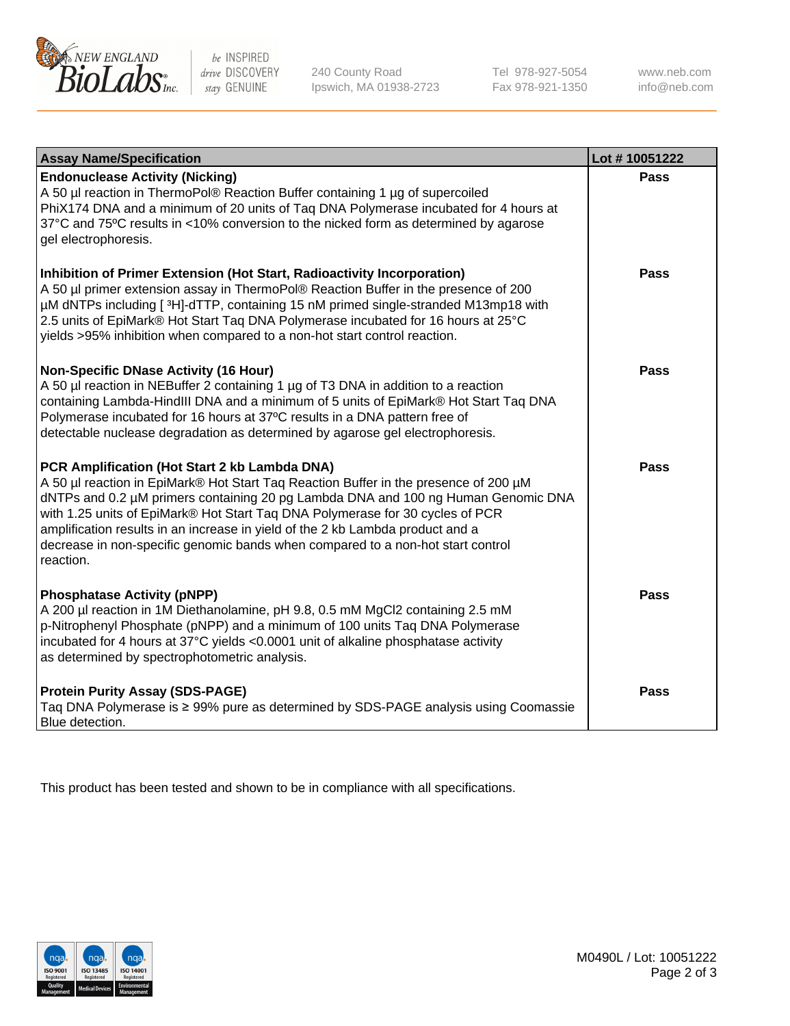

 $be$  INSPIRED drive DISCOVERY stay GENUINE

240 County Road Ipswich, MA 01938-2723 Tel 978-927-5054 Fax 978-921-1350 www.neb.com info@neb.com

| <b>Assay Name/Specification</b>                                                                                                                                                                                                                                                                                                                                                                                                                                                               | Lot #10051222 |
|-----------------------------------------------------------------------------------------------------------------------------------------------------------------------------------------------------------------------------------------------------------------------------------------------------------------------------------------------------------------------------------------------------------------------------------------------------------------------------------------------|---------------|
| <b>Endonuclease Activity (Nicking)</b><br>A 50 µl reaction in ThermoPol® Reaction Buffer containing 1 µg of supercoiled<br>PhiX174 DNA and a minimum of 20 units of Taq DNA Polymerase incubated for 4 hours at<br>37°C and 75°C results in <10% conversion to the nicked form as determined by agarose<br>gel electrophoresis.                                                                                                                                                               | <b>Pass</b>   |
| Inhibition of Primer Extension (Hot Start, Radioactivity Incorporation)<br>A 50 µl primer extension assay in ThermoPol® Reaction Buffer in the presence of 200<br>µM dNTPs including [3H]-dTTP, containing 15 nM primed single-stranded M13mp18 with<br>2.5 units of EpiMark® Hot Start Taq DNA Polymerase incubated for 16 hours at 25°C<br>yields >95% inhibition when compared to a non-hot start control reaction.                                                                        | <b>Pass</b>   |
| <b>Non-Specific DNase Activity (16 Hour)</b><br>A 50 µl reaction in NEBuffer 2 containing 1 µg of T3 DNA in addition to a reaction<br>containing Lambda-HindIII DNA and a minimum of 5 units of EpiMark® Hot Start Taq DNA<br>Polymerase incubated for 16 hours at 37°C results in a DNA pattern free of<br>detectable nuclease degradation as determined by agarose gel electrophoresis.                                                                                                     | <b>Pass</b>   |
| PCR Amplification (Hot Start 2 kb Lambda DNA)<br>A 50 µl reaction in EpiMark® Hot Start Taq Reaction Buffer in the presence of 200 µM<br>dNTPs and 0.2 µM primers containing 20 pg Lambda DNA and 100 ng Human Genomic DNA<br>with 1.25 units of EpiMark® Hot Start Taq DNA Polymerase for 30 cycles of PCR<br>amplification results in an increase in yield of the 2 kb Lambda product and a<br>decrease in non-specific genomic bands when compared to a non-hot start control<br>reaction. | <b>Pass</b>   |
| <b>Phosphatase Activity (pNPP)</b><br>A 200 µl reaction in 1M Diethanolamine, pH 9.8, 0.5 mM MgCl2 containing 2.5 mM<br>p-Nitrophenyl Phosphate (pNPP) and a minimum of 100 units Taq DNA Polymerase<br>incubated for 4 hours at 37°C yields <0.0001 unit of alkaline phosphatase activity<br>as determined by spectrophotometric analysis.                                                                                                                                                   | <b>Pass</b>   |
| <b>Protein Purity Assay (SDS-PAGE)</b><br>Taq DNA Polymerase is ≥ 99% pure as determined by SDS-PAGE analysis using Coomassie<br>Blue detection.                                                                                                                                                                                                                                                                                                                                              | Pass          |

This product has been tested and shown to be in compliance with all specifications.